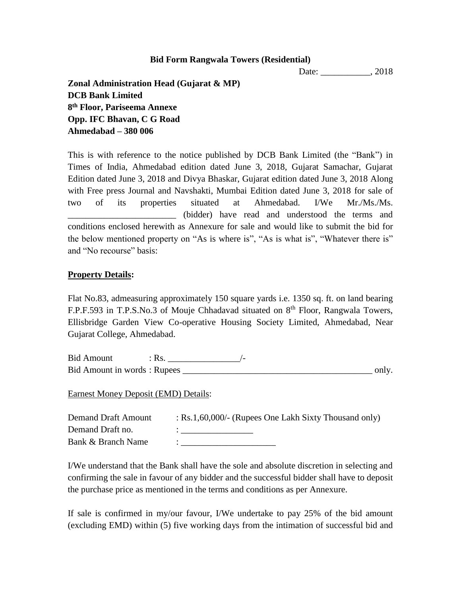### **Bid Form Rangwala Towers (Residential)**

Date: \_\_\_\_\_\_\_\_\_\_\_\_, 2018

**Zonal Administration Head (Gujarat & MP) DCB Bank Limited 8 th Floor, Pariseema Annexe Opp. IFC Bhavan, C G Road Ahmedabad – 380 006**

This is with reference to the notice published by DCB Bank Limited (the "Bank") in Times of India, Ahmedabad edition dated June 3, 2018, Gujarat Samachar, Gujarat Edition dated June 3, 2018 and Divya Bhaskar, Gujarat edition dated June 3, 2018 Along with Free press Journal and Navshakti, Mumbai Edition dated June 3, 2018 for sale of two of its properties situated at Ahmedabad. I/We Mr./Ms./Ms. \_\_\_\_\_\_\_\_\_\_\_\_\_\_\_\_\_\_\_\_\_\_\_\_ (bidder) have read and understood the terms and conditions enclosed herewith as Annexure for sale and would like to submit the bid for the below mentioned property on "As is where is", "As is what is", "Whatever there is" and "No recourse" basis:

## **Property Details:**

Flat No.83, admeasuring approximately 150 square yards i.e. 1350 sq. ft. on land bearing F.P.F.593 in T.P.S.No.3 of Mouje Chhadavad situated on 8<sup>th</sup> Floor, Rangwala Towers, Ellisbridge Garden View Co-operative Housing Society Limited, Ahmedabad, Near Gujarat College, Ahmedabad.

Bid Amount : Rs. \_\_\_\_\_\_\_\_\_\_\_\_\_\_\_\_/- Bid Amount in words : Rupees \_\_\_\_\_\_\_\_\_\_\_\_\_\_\_\_\_\_\_\_\_\_\_\_\_\_\_\_\_\_\_\_\_\_\_\_\_\_\_\_\_\_ only.

Earnest Money Deposit (EMD) Details:

| <b>Demand Draft Amount</b> | : Rs.1,60,000/- (Rupees One Lakh Sixty Thousand only) |
|----------------------------|-------------------------------------------------------|
| Demand Draft no.           |                                                       |
| Bank & Branch Name         |                                                       |

I/We understand that the Bank shall have the sole and absolute discretion in selecting and confirming the sale in favour of any bidder and the successful bidder shall have to deposit the purchase price as mentioned in the terms and conditions as per Annexure.

If sale is confirmed in my/our favour, I/We undertake to pay 25% of the bid amount (excluding EMD) within (5) five working days from the intimation of successful bid and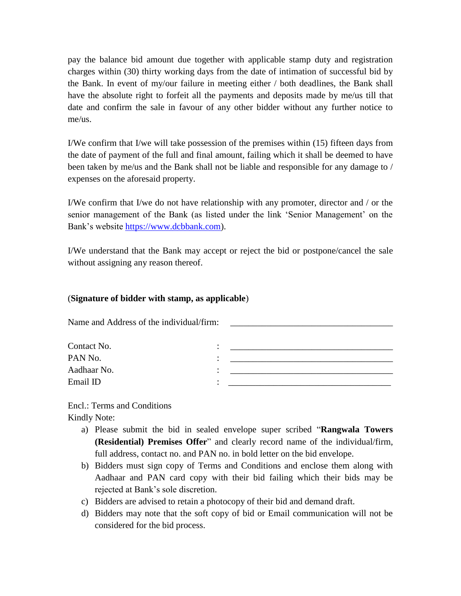pay the balance bid amount due together with applicable stamp duty and registration charges within (30) thirty working days from the date of intimation of successful bid by the Bank. In event of my/our failure in meeting either / both deadlines, the Bank shall have the absolute right to forfeit all the payments and deposits made by me/us till that date and confirm the sale in favour of any other bidder without any further notice to me/us.

I/We confirm that I/we will take possession of the premises within (15) fifteen days from the date of payment of the full and final amount, failing which it shall be deemed to have been taken by me/us and the Bank shall not be liable and responsible for any damage to / expenses on the aforesaid property.

I/We confirm that I/we do not have relationship with any promoter, director and / or the senior management of the Bank (as listed under the link 'Senior Management' on the Bank's website [https://www.dcbbank.com\)](https://www.dcbbank.com/).

I/We understand that the Bank may accept or reject the bid or postpone/cancel the sale without assigning any reason thereof.

# (**Signature of bidder with stamp, as applicable**)

Name and Address of the individual/firm:

| Contact No. | ٠ |  |
|-------------|---|--|
| PAN No.     | ٠ |  |
| Aadhaar No. | ٠ |  |
| Email ID    | ٠ |  |

Encl.: Terms and Conditions Kindly Note:

- a) Please submit the bid in sealed envelope super scribed "**Rangwala Towers (Residential) Premises Offer**" and clearly record name of the individual/firm, full address, contact no. and PAN no. in bold letter on the bid envelope.
- b) Bidders must sign copy of Terms and Conditions and enclose them along with Aadhaar and PAN card copy with their bid failing which their bids may be rejected at Bank's sole discretion.
- c) Bidders are advised to retain a photocopy of their bid and demand draft.
- d) Bidders may note that the soft copy of bid or Email communication will not be considered for the bid process.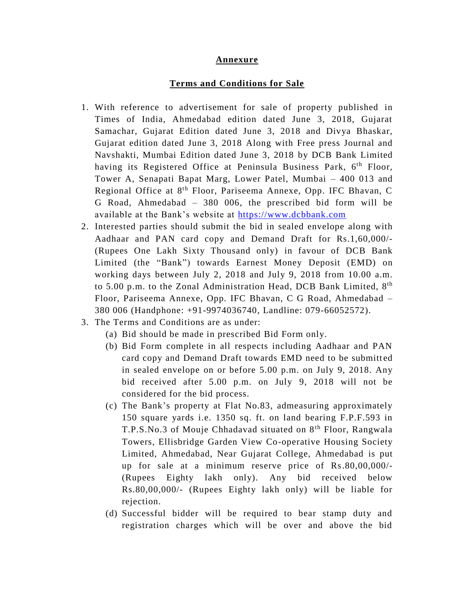#### **Annexure**

#### **Terms and Conditions for Sale**

- 1. With reference to advertisement for sale of property published in Times of India, Ahmedabad edition dated June 3, 2018, Gujarat Samachar, Gujarat Edition dated June 3, 2018 and Divya Bhaskar, Gujarat edition dated June 3, 2018 Along with Free press Journal and Navshakti, Mumbai Edition dated June 3, 2018 by DCB Bank Limited having its Registered Office at Peninsula Business Park, 6<sup>th</sup> Floor, Tower A, Senapati Bapat Marg, Lower Patel, Mumbai – 400 013 and Regional Office at 8<sup>th</sup> Floor, Pariseema Annexe, Opp. IFC Bhavan, C G Road, Ahmedabad – 380 006, the prescribed bid form will be available at the Bank's website at [https://www.dcbbank.com](https://www.dcbbank.com/)
- 2. Interested parties should submit the bid in sealed envelope along with Aadhaar and PAN card copy and Demand Draft for Rs.1,60,000/- (Rupees One Lakh Sixty Thousand only) in favour of DCB Bank Limited (the "Bank") towards Earnest Money Deposit (EMD) on working days between July 2, 2018 and July 9, 2018 from 10.00 a.m. to 5.00 p.m. to the Zonal Administration Head, DCB Bank Limited, 8<sup>th</sup> Floor, Pariseema Annexe, Opp. IFC Bhavan, C G Road, Ahmedabad – 380 006 (Handphone: +91-9974036740, Landline: 079-66052572).
- 3. The Terms and Conditions are as under:
	- (a) Bid should be made in prescribed Bid Form only.
	- (b) Bid Form complete in all respects including Aadhaar and PAN card copy and Demand Draft towards EMD need to be submitted in sealed envelope on or before 5.00 p.m. on July 9, 2018. Any bid received after 5.00 p.m. on July 9, 2018 will not be considered for the bid process.
	- (c) The Bank's property at Flat No.83, admeasuring approximately 150 square yards i.e. 1350 sq. ft. on land bearing F.P.F.593 in T.P.S.No.3 of Mouje Chhadavad situated on 8<sup>th</sup> Floor, Rangwala Towers, Ellisbridge Garden View Co-operative Housing Society Limited, Ahmedabad, Near Gujarat College, Ahmedabad is put up for sale at a minimum reserve price of Rs.80,00,000/- (Rupees Eighty lakh only). Any bid received below Rs.80,00,000/- (Rupees Eighty lakh only) will be liable for rejection.
	- (d) Successful bidder will be required to bear stamp duty and registration charges which will be over and above the bid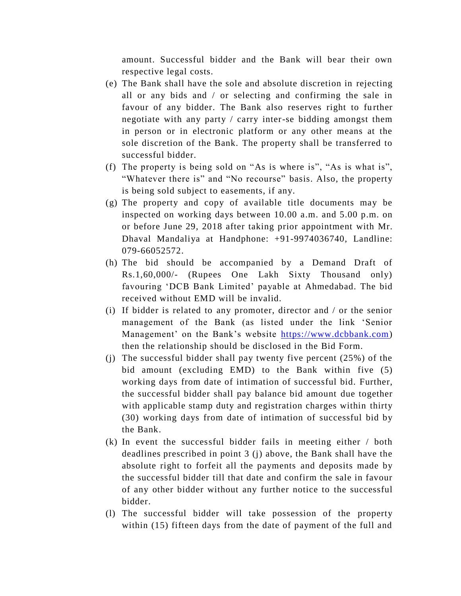amount. Successful bidder and the Bank will bear their own respective legal costs.

- (e) The Bank shall have the sole and absolute discretion in rejecting all or any bids and / or selecting and confirming the sale in favour of any bidder. The Bank also reserves right to further negotiate with any party / carry inter-se bidding amongst them in person or in electronic platform or any other means at the sole discretion of the Bank. The property shall be transferred to successful bidder.
- (f) The property is being sold on "As is where is", "As is what is", "Whatever there is" and "No recourse" basis. Also, the property is being sold subject to easements, if any.
- (g) The property and copy of available title documents may be inspected on working days between 10.00 a.m. and 5.00 p.m. on or before June 29, 2018 after taking prior appointment with Mr. Dhaval Mandaliya at Handphone: +91-9974036740, Landline: 079-66052572.
- (h) The bid should be accompanied by a Demand Draft of Rs.1,60,000/- (Rupees One Lakh Sixty Thousand only) favouring 'DCB Bank Limited' payable at Ahmedabad. The bid received without EMD will be invalid.
- (i) If bidder is related to any promoter, director and / or the senior management of the Bank (as listed under the link 'Senior Management' on the Bank's website [https://www.dcbbank.com\)](https://www.dcbbank.com/) then the relationship should be disclosed in the Bid Form.
- (j) The successful bidder shall pay twenty five percent (25%) of the bid amount (excluding EMD) to the Bank within five (5) working days from date of intimation of successful bid. Further, the successful bidder shall pay balance bid amount due together with applicable stamp duty and registration charges within thirty (30) working days from date of intimation of successful bid by the Bank.
- (k) In event the successful bidder fails in meeting either / both deadlines prescribed in point 3 (j) above, the Bank shall have the absolute right to forfeit all the payments and deposits made by the successful bidder till that date and confirm the sale in favour of any other bidder without any further notice to the successful bidder.
- (l) The successful bidder will take possession of the property within (15) fifteen days from the date of payment of the full and